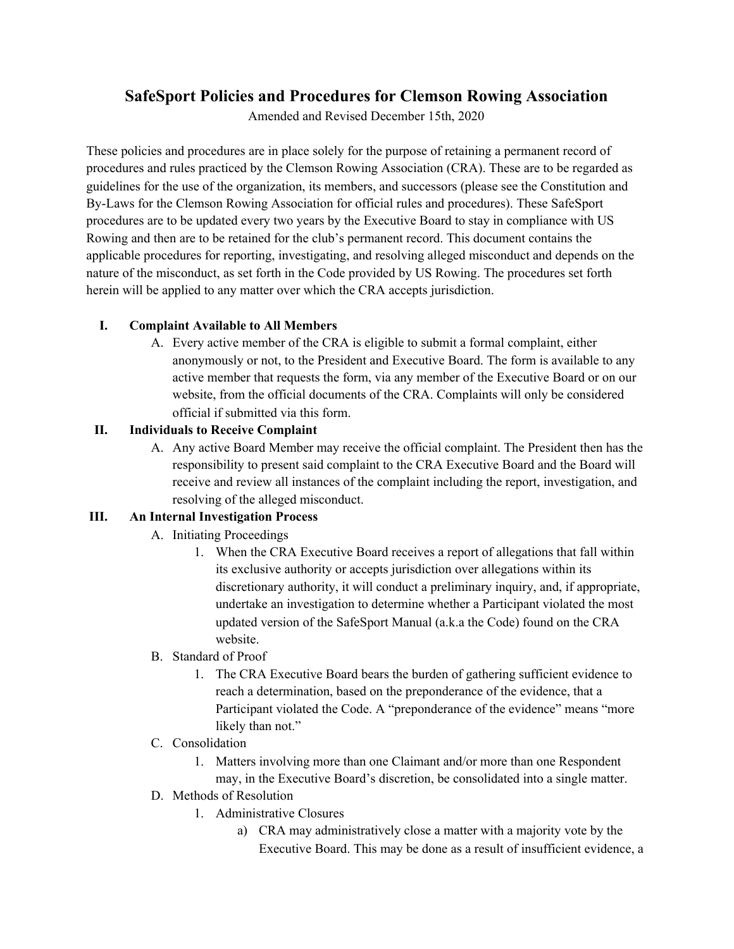# **SafeSport Policies and Procedures for Clemson Rowing Association**

Amended and Revised December 15th, 2020

These policies and procedures are in place solely for the purpose of retaining a permanent record of procedures and rules practiced by the Clemson Rowing Association (CRA). These are to be regarded as guidelines for the use of the organization, its members, and successors (please see the Constitution and By-Laws for the Clemson Rowing Association for official rules and procedures). These SafeSport procedures are to be updated every two years by the Executive Board to stay in compliance with US Rowing and then are to be retained for the club's permanent record. This document contains the applicable procedures for reporting, investigating, and resolving alleged misconduct and depends on the nature of the misconduct, as set forth in the Code provided by US Rowing. The procedures set forth herein will be applied to any matter over which the CRA accepts jurisdiction.

### **I. Complaint Available to All Members**

A. Every active member of the CRA is eligible to submit a formal complaint, either anonymously or not, to the President and Executive Board. The form is available to any active member that requests the form, via any member of the Executive Board or on our website, from the official documents of the CRA. Complaints will only be considered official if submitted via this form.

### **II. Individuals to Receive Complaint**

A. Any active Board Member may receive the official complaint. The President then has the responsibility to present said complaint to the CRA Executive Board and the Board will receive and review all instances of the complaint including the report, investigation, and resolving of the alleged misconduct.

## **III. An Internal Investigation Process**

- A. Initiating Proceedings
	- 1. When the CRA Executive Board receives a report of allegations that fall within its exclusive authority or accepts jurisdiction over allegations within its discretionary authority, it will conduct a preliminary inquiry, and, if appropriate, undertake an investigation to determine whether a Participant violated the most updated version of the SafeSport Manual (a.k.a the Code) found on the CRA website.
- B. Standard of Proof
	- 1. The CRA Executive Board bears the burden of gathering sufficient evidence to reach a determination, based on the preponderance of the evidence, that a Participant violated the Code. A "preponderance of the evidence" means "more likely than not."
- C. Consolidation
	- 1. Matters involving more than one Claimant and/or more than one Respondent may, in the Executive Board's discretion, be consolidated into a single matter.
- D. Methods of Resolution
	- 1. Administrative Closures
		- a) CRA may administratively close a matter with a majority vote by the Executive Board. This may be done as a result of insufficient evidence, a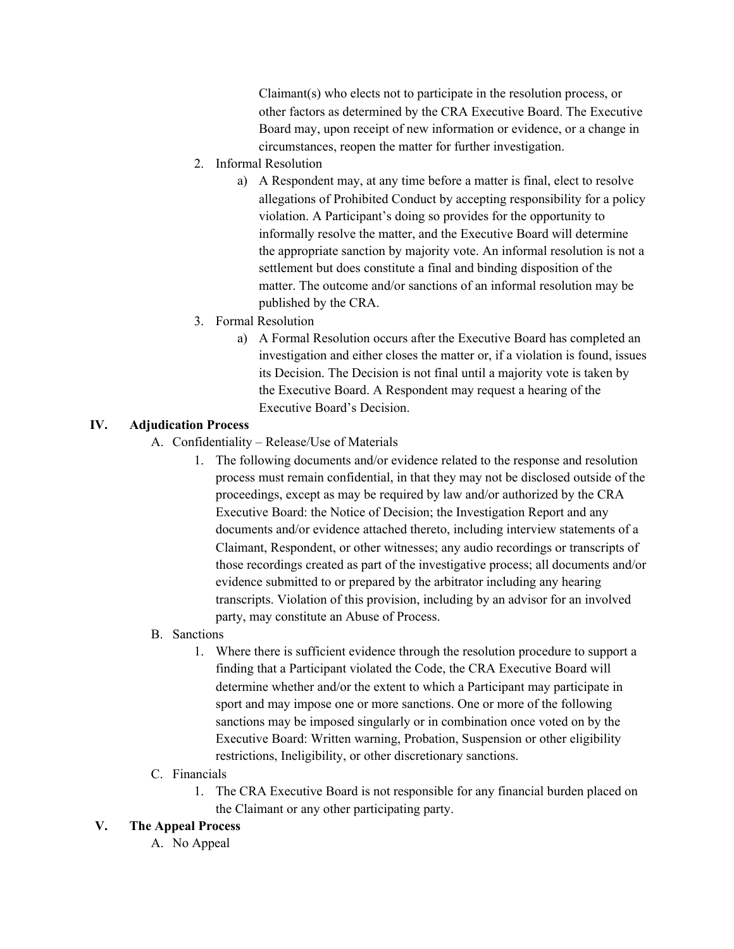Claimant(s) who elects not to participate in the resolution process, or other factors as determined by the CRA Executive Board. The Executive Board may, upon receipt of new information or evidence, or a change in circumstances, reopen the matter for further investigation.

- 2. Informal Resolution
	- a) A Respondent may, at any time before a matter is final, elect to resolve allegations of Prohibited Conduct by accepting responsibility for a policy violation. A Participant's doing so provides for the opportunity to informally resolve the matter, and the Executive Board will determine the appropriate sanction by majority vote. An informal resolution is not a settlement but does constitute a final and binding disposition of the matter. The outcome and/or sanctions of an informal resolution may be published by the CRA.
- 3. Formal Resolution
	- a) A Formal Resolution occurs after the Executive Board has completed an investigation and either closes the matter or, if a violation is found, issues its Decision. The Decision is not final until a majority vote is taken by the Executive Board. A Respondent may request a hearing of the Executive Board's Decision.

#### **IV. Adjudication Process**

- A. Confidentiality Release/Use of Materials
	- 1. The following documents and/or evidence related to the response and resolution process must remain confidential, in that they may not be disclosed outside of the proceedings, except as may be required by law and/or authorized by the CRA Executive Board: the Notice of Decision; the Investigation Report and any documents and/or evidence attached thereto, including interview statements of a Claimant, Respondent, or other witnesses; any audio recordings or transcripts of those recordings created as part of the investigative process; all documents and/or evidence submitted to or prepared by the arbitrator including any hearing transcripts. Violation of this provision, including by an advisor for an involved party, may constitute an Abuse of Process.

#### B. Sanctions

1. Where there is sufficient evidence through the resolution procedure to support a finding that a Participant violated the Code, the CRA Executive Board will determine whether and/or the extent to which a Participant may participate in sport and may impose one or more sanctions. One or more of the following sanctions may be imposed singularly or in combination once voted on by the Executive Board: Written warning, Probation, Suspension or other eligibility restrictions, Ineligibility, or other discretionary sanctions.

#### C. Financials

1. The CRA Executive Board is not responsible for any financial burden placed on the Claimant or any other participating party.

#### **V. The Appeal Process**

A. No Appeal